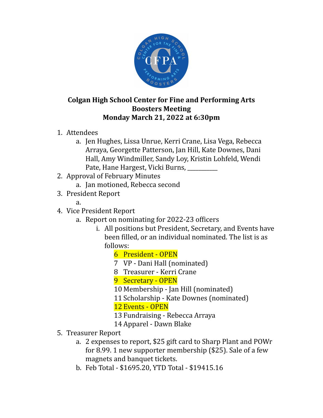

## **Colgan High School Center for Fine and Performing Arts Boosters Meeting Monday March 21, 2022 at 6:30pm**

- 1. Attendees
	- a. Jen Hughes, Lissa Unrue, Kerri Crane, Lisa Vega, Rebecca Arraya, Georgette Patterson, Jan Hill, Kate Downes, Dani Hall, Amy Windmiller, Sandy Loy, Kristin Lohfeld, Wendi Pate, Hane Hargest, Vicki Burns, \_\_\_\_\_\_\_\_\_\_\_
- 2. Approval of February Minutes
	- a. Jan motioned, Rebecca second
- 3. President Report
	- a.
- 4. Vice President Report
	- a. Report on nominating for 2022-23 officers
		- i. All positions but President, Secretary, and Events have been filled, or an individual nominated. The list is as follows:
			- 6 President OPEN
			- 7 VP Dani Hall (nominated)
			- 8 Treasurer Kerri Crane
			- 9 Secretary OPEN
			- 10 Membership Jan Hill (nominated)
			- 11 Scholarship Kate Downes (nominated)
			- 12 Events OPEN
			- 13 Fundraising Rebecca Arraya
			- 14 Apparel Dawn Blake
- 5. Treasurer Report
	- a. 2 expenses to report, \$25 gift card to Sharp Plant and POWr for 8.99. 1 new supporter membership (\$25). Sale of a few magnets and banquet tickets.
	- b. Feb Total \$1695.20, YTD Total \$19415.16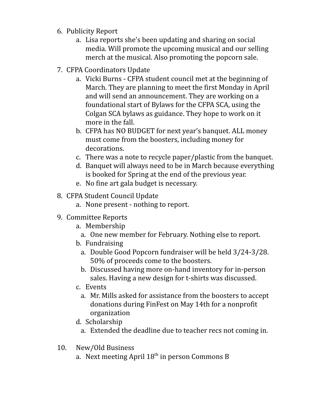- 6. Publicity Report
	- a. Lisa reports she's been updating and sharing on social media. Will promote the upcoming musical and our selling merch at the musical. Also promoting the popcorn sale.
- 7. CFPA Coordinators Update
	- a. Vicki Burns CFPA student council met at the beginning of March. They are planning to meet the first Monday in April and will send an announcement. They are working on a foundational start of Bylaws for the CFPA SCA, using the Colgan SCA bylaws as guidance. They hope to work on it more in the fall.
	- b. CFPA has NO BUDGET for next year's banquet. ALL money must come from the boosters, including money for decorations.
	- c. There was a note to recycle paper/plastic from the banquet.
	- d. Banquet will always need to be in March because everything is booked for Spring at the end of the previous year.
	- e. No fine art gala budget is necessary.
- 8. CFPA Student Council Update
	- a. None present nothing to report.
- 9. Committee Reports
	- a. Membership
		- a. One new member for February. Nothing else to report.
	- b. Fundraising
		- a. Double Good Popcorn fundraiser will be held 3/24-3/28. 50% of proceeds come to the boosters.
		- b. Discussed having more on-hand inventory for in-person sales. Having a new design for t-shirts was discussed.
	- c. Events
		- a. Mr. Mills asked for assistance from the boosters to accept donations during FinFest on May 14th for a nonprofit organization
	- d. Scholarship
		- a. Extended the deadline due to teacher recs not coming in.
- 10. New/Old Business
	- a. Next meeting April  $18^{\text{th}}$  in person Commons B